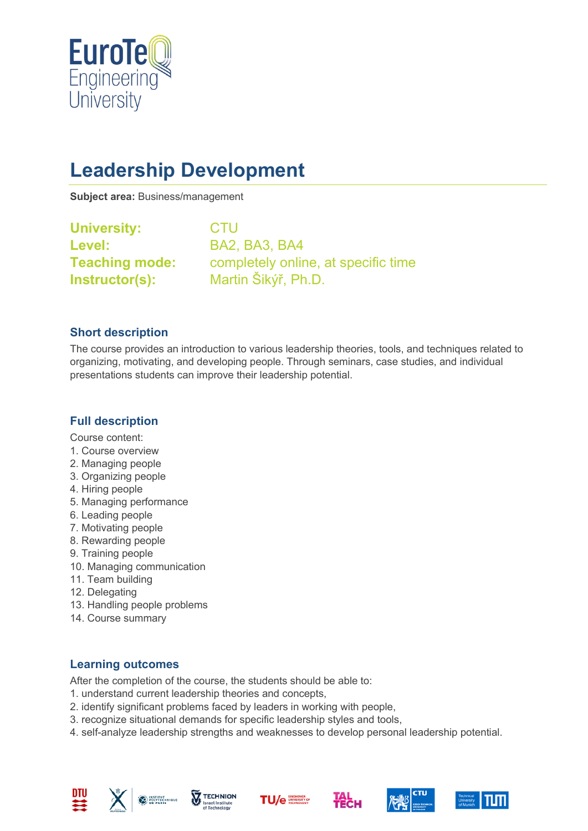

# **Leadership Development**

**Subject area:** Business/management

**University:** CTU **Level:** BA2, BA3, BA4

**Teaching mode:** completely online, at specific time **Instructor(s):** Martin Šikýř, Ph.D.

#### **Short description**

The course provides an introduction to various leadership theories, tools, and techniques related to organizing, motivating, and developing people. Through seminars, case studies, and individual presentations students can improve their leadership potential.

### **Full description**

Course content:

- 1. Course overview
- 2. Managing people
- 3. Organizing people
- 4. Hiring people
- 5. Managing performance
- 6. Leading people
- 7. Motivating people
- 8. Rewarding people
- 9. Training people
- 10. Managing communication
- 11. Team building
- 12. Delegating
- 13. Handling people problems
- 14. Course summary

#### **Learning outcomes**

After the completion of the course, the students should be able to:

- 1. understand current leadership theories and concepts,
- 2. identify significant problems faced by leaders in working with people,
- 3. recognize situational demands for specific leadership styles and tools,
- 4. self-analyze leadership strengths and weaknesses to develop personal leadership potential.











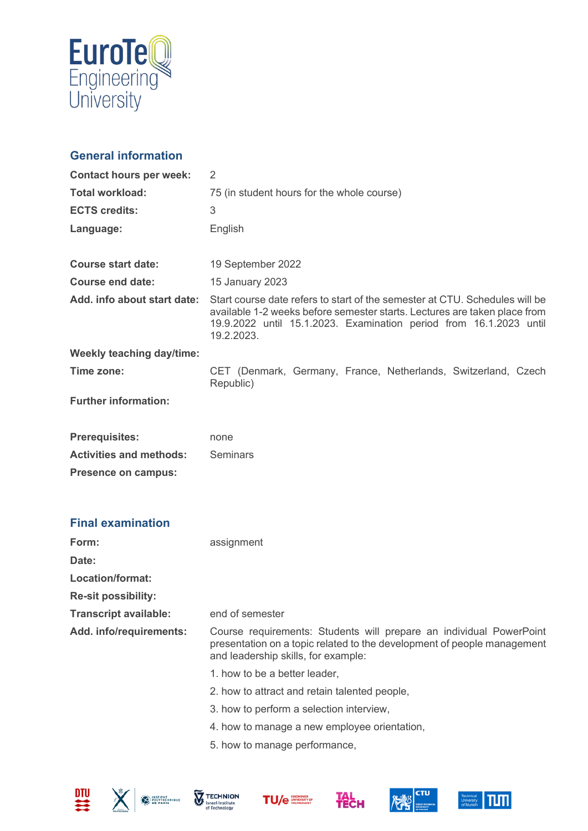

## **General information**

| <b>Contact hours per week:</b> | 2                                                                                                                                                                                                                                            |
|--------------------------------|----------------------------------------------------------------------------------------------------------------------------------------------------------------------------------------------------------------------------------------------|
| <b>Total workload:</b>         | 75 (in student hours for the whole course)                                                                                                                                                                                                   |
| <b>ECTS credits:</b>           | 3                                                                                                                                                                                                                                            |
| Language:                      | English                                                                                                                                                                                                                                      |
| <b>Course start date:</b>      | 19 September 2022                                                                                                                                                                                                                            |
| <b>Course end date:</b>        | 15 January 2023                                                                                                                                                                                                                              |
| Add. info about start date:    | Start course date refers to start of the semester at CTU. Schedules will be<br>available 1-2 weeks before semester starts. Lectures are taken place from<br>19.9.2022 until 15.1.2023. Examination period from 16.1.2023 until<br>19.2.2023. |
| Weekly teaching day/time:      |                                                                                                                                                                                                                                              |
| Time zone:                     | CET (Denmark, Germany, France, Netherlands, Switzerland, Czech<br>Republic)                                                                                                                                                                  |
| <b>Further information:</b>    |                                                                                                                                                                                                                                              |
| <b>Prerequisites:</b>          | none                                                                                                                                                                                                                                         |
| <b>Activities and methods:</b> | <b>Seminars</b>                                                                                                                                                                                                                              |
| <b>Presence on campus:</b>     |                                                                                                                                                                                                                                              |
| <b>Final examination</b>       |                                                                                                                                                                                                                                              |
| Form:                          | assignment                                                                                                                                                                                                                                   |
| Date:                          |                                                                                                                                                                                                                                              |
| <b>Location/format:</b>        |                                                                                                                                                                                                                                              |
| <b>Re-sit possibility:</b>     |                                                                                                                                                                                                                                              |
| <b>Transcript available:</b>   | end of semester                                                                                                                                                                                                                              |
| Add. info/requirements:        | Course requirements: Students will prepare an individual PowerPoint<br>presentation on a topic related to the development of people management<br>and leadership skills, for example:                                                        |
|                                | 1. how to be a better leader,                                                                                                                                                                                                                |
|                                | 2. how to attract and retain talented people,                                                                                                                                                                                                |
|                                | 3. how to perform a selection interview,                                                                                                                                                                                                     |
|                                | 4. how to manage a new employee orientation,                                                                                                                                                                                                 |
|                                | 5. how to manage performance,                                                                                                                                                                                                                |











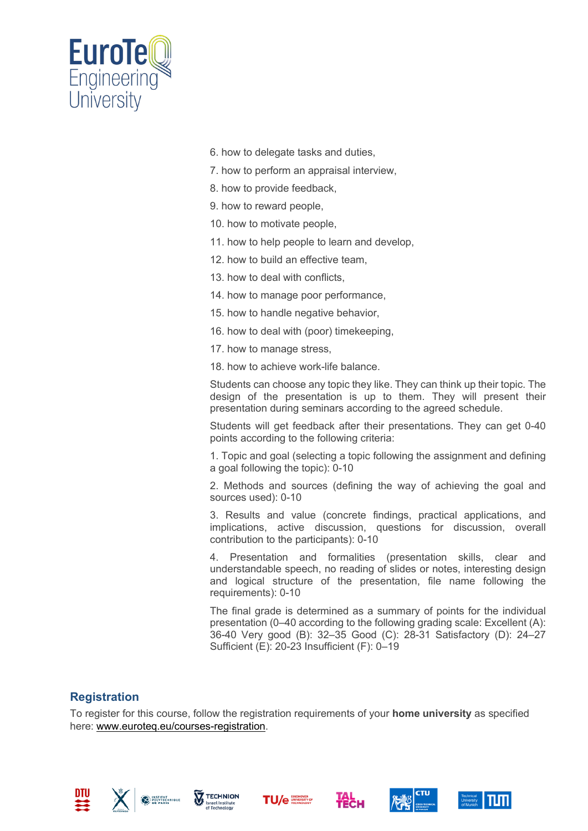

- 6. how to delegate tasks and duties,
- 7. how to perform an appraisal interview,
- 8. how to provide feedback,
- 9. how to reward people,
- 10. how to motivate people,
- 11. how to help people to learn and develop,
- 12. how to build an effective team,
- 13. how to deal with conflicts,
- 14. how to manage poor performance,
- 15. how to handle negative behavior,
- 16. how to deal with (poor) timekeeping,
- 17. how to manage stress,
- 18. how to achieve work-life balance.

Students can choose any topic they like. They can think up their topic. The design of the presentation is up to them. They will present their presentation during seminars according to the agreed schedule.

Students will get feedback after their presentations. They can get 0-40 points according to the following criteria:

1. Topic and goal (selecting a topic following the assignment and defining a goal following the topic): 0-10

2. Methods and sources (defining the way of achieving the goal and sources used): 0-10

3. Results and value (concrete findings, practical applications, and implications, active discussion, questions for discussion, overall contribution to the participants): 0-10

4. Presentation and formalities (presentation skills, clear and understandable speech, no reading of slides or notes, interesting design and logical structure of the presentation, file name following the requirements): 0-10

The final grade is determined as a summary of points for the individual presentation (0–40 according to the following grading scale: Excellent (A): 36-40 Very good (B): 32–35 Good (C): 28-31 Satisfactory (D): 24–27 Sufficient (E): 20-23 Insufficient (F): 0–19

#### **Registration**

To register for this course, follow the registration requirements of your **home university** as specified here: [www.euroteq.eu/courses-registration.](http://www.euroteq.eu/courses-registration)